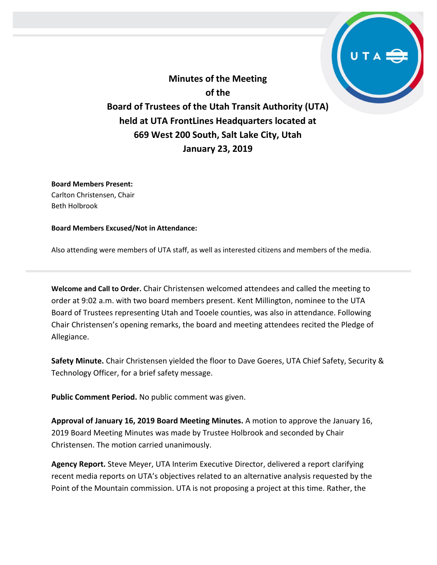**Minutes of the Meeting of the Board of Trustees of the Utah Transit Authority (UTA) held at UTA FrontLines Headquarters located at 669 West 200 South, Salt Lake City, Utah January 23, 2019**

**Board Members Present:** Carlton Christensen, Chair Beth Holbrook

#### **Board Members Excused/Not in Attendance:**

Also attending were members of UTA staff, as well as interested citizens and members of the media.

**Welcome and Call to Order.** Chair Christensen welcomed attendees and called the meeting to order at 9:02 a.m. with two board members present. Kent Millington, nominee to the UTA Board of Trustees representing Utah and Tooele counties, was also in attendance. Following Chair Christensen's opening remarks, the board and meeting attendees recited the Pledge of Allegiance.

**Safety Minute.** Chair Christensen yielded the floor to Dave Goeres, UTA Chief Safety, Security & Technology Officer, for a brief safety message.

**Public Comment Period.** No public comment was given.

**Approval of January 16, 2019 Board Meeting Minutes.** A motion to approve the January 16, 2019 Board Meeting Minutes was made by Trustee Holbrook and seconded by Chair Christensen. The motion carried unanimously.

**Agency Report.** Steve Meyer, UTA Interim Executive Director, delivered a report clarifying recent media reports on UTA's objectives related to an alternative analysis requested by the Point of the Mountain commission. UTA is not proposing a project at this time. Rather, the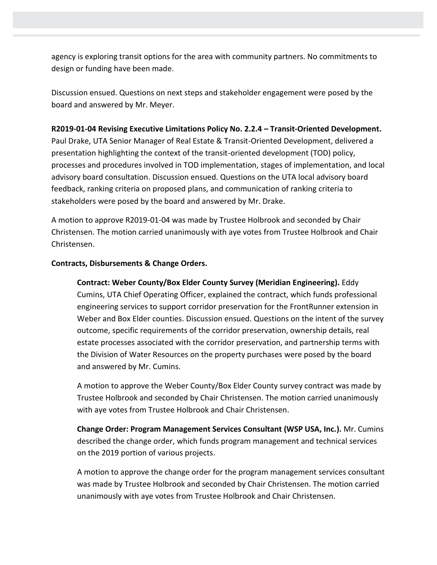agency is exploring transit options for the area with community partners. No commitments to design or funding have been made.

Discussion ensued. Questions on next steps and stakeholder engagement were posed by the board and answered by Mr. Meyer.

### **R2019-01-04 Revising Executive Limitations Policy No. 2.2.4 – Transit-Oriented Development.**

Paul Drake, UTA Senior Manager of Real Estate & Transit-Oriented Development, delivered a presentation highlighting the context of the transit-oriented development (TOD) policy, processes and procedures involved in TOD implementation, stages of implementation, and local advisory board consultation. Discussion ensued. Questions on the UTA local advisory board feedback, ranking criteria on proposed plans, and communication of ranking criteria to stakeholders were posed by the board and answered by Mr. Drake.

A motion to approve R2019-01-04 was made by Trustee Holbrook and seconded by Chair Christensen. The motion carried unanimously with aye votes from Trustee Holbrook and Chair Christensen.

# **Contracts, Disbursements & Change Orders.**

**Contract: Weber County/Box Elder County Survey (Meridian Engineering).** Eddy Cumins, UTA Chief Operating Officer, explained the contract, which funds professional engineering services to support corridor preservation for the FrontRunner extension in Weber and Box Elder counties. Discussion ensued. Questions on the intent of the survey outcome, specific requirements of the corridor preservation, ownership details, real estate processes associated with the corridor preservation, and partnership terms with the Division of Water Resources on the property purchases were posed by the board and answered by Mr. Cumins.

A motion to approve the Weber County/Box Elder County survey contract was made by Trustee Holbrook and seconded by Chair Christensen. The motion carried unanimously with aye votes from Trustee Holbrook and Chair Christensen.

**Change Order: Program Management Services Consultant (WSP USA, Inc.).** Mr. Cumins described the change order, which funds program management and technical services on the 2019 portion of various projects.

A motion to approve the change order for the program management services consultant was made by Trustee Holbrook and seconded by Chair Christensen. The motion carried unanimously with aye votes from Trustee Holbrook and Chair Christensen.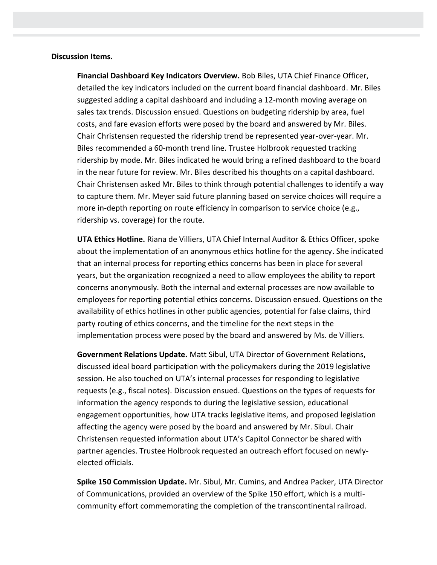#### **Discussion Items.**

**Financial Dashboard Key Indicators Overview.** Bob Biles, UTA Chief Finance Officer, detailed the key indicators included on the current board financial dashboard. Mr. Biles suggested adding a capital dashboard and including a 12-month moving average on sales tax trends. Discussion ensued. Questions on budgeting ridership by area, fuel costs, and fare evasion efforts were posed by the board and answered by Mr. Biles. Chair Christensen requested the ridership trend be represented year-over-year. Mr. Biles recommended a 60-month trend line. Trustee Holbrook requested tracking ridership by mode. Mr. Biles indicated he would bring a refined dashboard to the board in the near future for review. Mr. Biles described his thoughts on a capital dashboard. Chair Christensen asked Mr. Biles to think through potential challenges to identify a way to capture them. Mr. Meyer said future planning based on service choices will require a more in-depth reporting on route efficiency in comparison to service choice (e.g., ridership vs. coverage) for the route.

**UTA Ethics Hotline.** Riana de Villiers, UTA Chief Internal Auditor & Ethics Officer, spoke about the implementation of an anonymous ethics hotline for the agency. She indicated that an internal process for reporting ethics concerns has been in place for several years, but the organization recognized a need to allow employees the ability to report concerns anonymously. Both the internal and external processes are now available to employees for reporting potential ethics concerns. Discussion ensued. Questions on the availability of ethics hotlines in other public agencies, potential for false claims, third party routing of ethics concerns, and the timeline for the next steps in the implementation process were posed by the board and answered by Ms. de Villiers.

**Government Relations Update.** Matt Sibul, UTA Director of Government Relations, discussed ideal board participation with the policymakers during the 2019 legislative session. He also touched on UTA's internal processes for responding to legislative requests (e.g., fiscal notes). Discussion ensued. Questions on the types of requests for information the agency responds to during the legislative session, educational engagement opportunities, how UTA tracks legislative items, and proposed legislation affecting the agency were posed by the board and answered by Mr. Sibul. Chair Christensen requested information about UTA's Capitol Connector be shared with partner agencies. Trustee Holbrook requested an outreach effort focused on newlyelected officials.

**Spike 150 Commission Update.** Mr. Sibul, Mr. Cumins, and Andrea Packer, UTA Director of Communications, provided an overview of the Spike 150 effort, which is a multicommunity effort commemorating the completion of the transcontinental railroad.